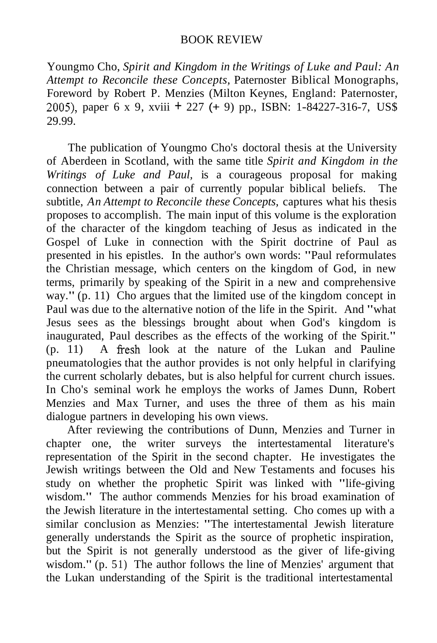## BOOK REVIEW

2005), paper 6 x 9, xviii + 227 (+ 9) pp., ISBN: 1-84227-316-7, US\$ Youngmo Cho, *Spirit and Kingdom in the Writings of Luke and Paul: An Attempt to Reconcile these Concepts,* Paternoster Biblical Monographs, Foreword by Robert P. Menzies (Milton Keynes, England: Paternoster, 29.99.

(p. 11) A fresh look at the nature of the Lukan and Pauline The publication of Youngmo Cho's doctoral thesis at the University of Aberdeen in Scotland, with the same title *Spirit and Kingdom in the Writings of Luke and Paul,* is a courageous proposal for making connection between a pair of currently popular biblical beliefs. The subtitle, *An Attempt to Reconcile these Concepts,* captures what his thesis proposes to accomplish. The main input of this volume is the exploration of the character of the kingdom teaching of Jesus as indicated in the Gospel of Luke in connection with the Spirit doctrine of Paul as presented in his epistles. In the author's own words: "Paul reformulates the Christian message, which centers on the kingdom of God, in new terms, primarily by speaking of the Spirit in a new and comprehensive way." (p. 11) Cho argues that the limited use of the kingdom concept in Paul was due to the alternative notion of the life in the Spirit. And "what Jesus sees as the blessings brought about when God's kingdom is inaugurated, Paul describes as the effects of the working of the Spirit." pneumatologies that the author provides is not only helpful in clarifying the current scholarly debates, but is also helpful for current church issues. In Cho's seminal work he employs the works of James Dunn, Robert Menzies and Max Turner, and uses the three of them as his main dialogue partners in developing his own views.

After reviewing the contributions of Dunn, Menzies and Turner in chapter one, the writer surveys the intertestamental literature's representation of the Spirit in the second chapter. He investigates the Jewish writings between the Old and New Testaments and focuses his study on whether the prophetic Spirit was linked with "life-giving wisdom." The author commends Menzies for his broad examination of the Jewish literature in the intertestamental setting. Cho comes up with a similar conclusion as Menzies: "The intertestamental Jewish literature generally understands the Spirit as the source of prophetic inspiration, but the Spirit is not generally understood as the giver of life-giving wisdom." (p. 51) The author follows the line of Menzies' argument that the Lukan understanding of the Spirit is the traditional intertestamental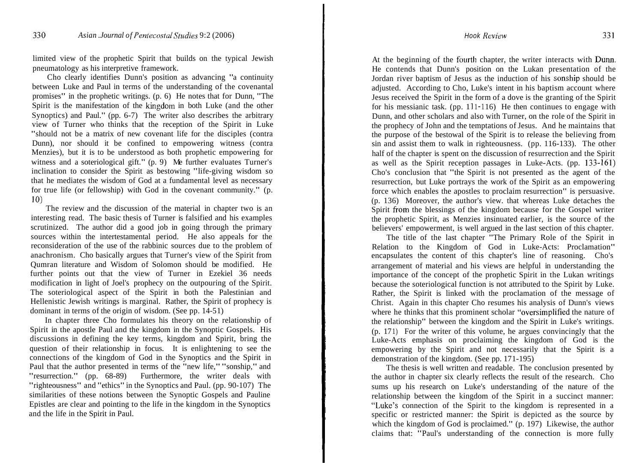limited view of the prophetic Spirit that builds on the typical Jewish pneumatology as his interpretive framework.

Spirit is the manifestation of the kingdom in both Luke (and the other 10) Cho clearly identifies Dunn's position as advancing "a continuity between Luke and Paul in terms of the understanding of the covenantal promises" in the prophetic writings. (p. 6) He notes that for Dunn, "The Synoptics) and Paul." (pp. 6-7) The writer also describes the arbitrary view of Turner who thinks that the reception of the Spirit in Luke "should not be a matrix of new covenant life for the disciples (contra Dunn), nor should it be confined to empowering witness (contra Menzies), but it is to be understood as both prophetic empowering for witness and a soteriological gift." (p. 9) Me further evaluates Turner's inclination to consider the Spirit as bestowing "life-giving wisdom so that he mediates the wisdom of God at a fundamental level as necessary for true life (or fellowship) with God in the covenant community." (p.

The review and the discussion of the material in chapter two is an interesting read. The basic thesis of Turner is falsified and his examples scrutinized. The author did a good job in going through the primary sources within the intertestamental period. He also appeals for the reconsideration of the use of the rabbinic sources due to the problem of anachronism. Cho basically argues that Turner's view of the Spirit from Qumran literature and Wisdom of Solomon should be modified. He further points out that the view of Turner in Ezekiel 36 needs modification in light of Joel's prophecy on the outpouring of the Spirit. The soteriological aspect of the Spirit in both the Palestinian and Hellenistic Jewish writings is marginal. Rather, the Spirit of prophecy is dominant in terms of the origin of wisdom. (See pp. 14-51)

In chapter three Cho formulates his theory on the relationship of Spirit in the apostle Paul and the kingdom in the Synoptic Gospels. His discussions in defining the key terms, kingdom and Spirit, bring the question of their relationship in focus. It is enlightening to see the connections of the kingdom of God in the Synoptics and the Spirit in Paul that the author presented in terms of the "new life," "sonship," and "resurrection." (pp. 68-89) Furthermore, the writer deals with "righteousness" and "ethics" in the Synoptics and Paul. (pp. 90-107) The similarities of these notions between the Synoptic Gospels and Pauline Epistles are clear and pointing to the life in the kingdom in the Synoptics and the life in the Spirit in Paul.

At the beginning of the fourth chapter, the writer interacts with Dunn. Jordan river baptism of Jesus as the induction of his sonship should be for his messianic task. (pp. 111-116) He then continues to engage with the purpose of the bestowal of the Spirit is to release the believing from as well as the Spirit reception passages in Luke-Acts. (pp. 133-161) Spirit from the blessings of the kingdom because for the Gospel writer He contends that Dunn's position on the Lukan presentation of the adjusted. According to Cho, Luke's intent in his baptism account where Jesus received the Spirit in the form of a dove is the granting of the Spirit Dunn, and other scholars and also with Turner, on the role of the Spirit in the prophecy of John and the temptations of Jesus. And he maintains that sin and assist them to walk in righteousness. (pp. 116-133). The other half of the chapter is spent on the discussion of resurrection and the Spirit Cho's conclusion that "the Spirit is not presented as the agent of the resurrection, but Luke portrays the work of the Spirit as an empowering force which enables the apostles to proclaim resurrection" is persuasive. (p. 136) Moreover, the author's view. that whereas Luke detaches the the prophetic Spirit, as Menzies insinuated earlier, is the source of the believers' empowerment, is well argued in the last section of this chapter.

where he thinks that this prominent scholar "oversimplified the nature of The title of the last chapter "The Primary Role of the Spirit in Relation to the Kingdom of God in Luke-Acts: Proclamation" encapsulates the content of this chapter's line of reasoning. Cho's arrangement of material and his views are helpful in understanding the importance of the concept of the prophetic Spirit in the Lukan writings because the soteriological function is not attributed to the Spirit by Luke. Rather, the Spirit is linked with the proclamation of the message of Christ. Again in this chapter Cho resumes his analysis of Dunn's views the relationship" between the kingdom and the Spirit in Luke's writings. (p. 171) For the writer of this volume, he argues convincingly that the Luke-Acts emphasis on proclaiming the kingdom of God is the empowering by the Spirit and not necessarily that the Spirit is a demonstration of the kingdom. (See pp. 17 1-195)

"Luke's connection of the Spirit to the kingdom is represented in a The thesis is well written and readable. The conclusion presented by the author in chapter six clearly reflects the result of the research. Cho sums up his research on Luke's understanding of the nature of the relationship between the kingdom of the Spirit in a succinct manner: specific or restricted manner: the Spirit is depicted as the source by which the kingdom of God is proclaimed." (p. 197) Likewise, the author claims that: "Paul's understanding of the connection is more fully